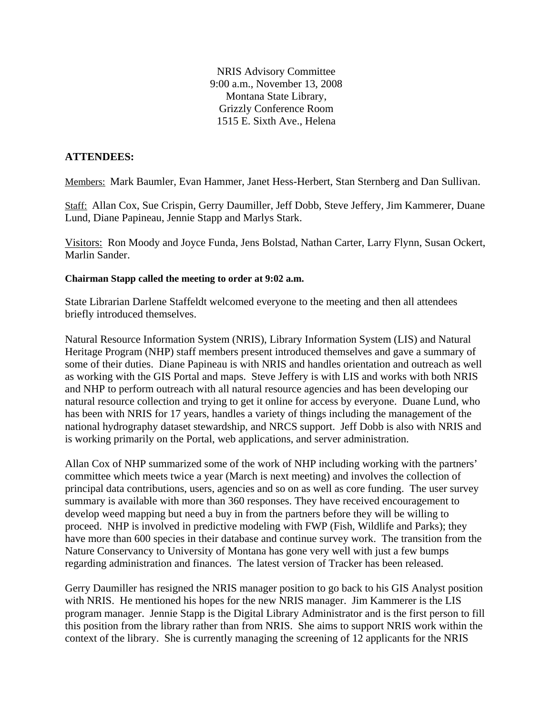NRIS Advisory Committee 9:00 a.m., November 13, 2008 Montana State Library, Grizzly Conference Room 1515 E. Sixth Ave., Helena

#### **ATTENDEES:**

Members: Mark Baumler, Evan Hammer, Janet Hess-Herbert, Stan Sternberg and Dan Sullivan.

Staff: Allan Cox, Sue Crispin, Gerry Daumiller, Jeff Dobb, Steve Jeffery, Jim Kammerer, Duane Lund, Diane Papineau, Jennie Stapp and Marlys Stark.

Visitors: Ron Moody and Joyce Funda, Jens Bolstad, Nathan Carter, Larry Flynn, Susan Ockert, Marlin Sander.

#### **Chairman Stapp called the meeting to order at 9:02 a.m.**

State Librarian Darlene Staffeldt welcomed everyone to the meeting and then all attendees briefly introduced themselves.

Natural Resource Information System (NRIS), Library Information System (LIS) and Natural Heritage Program (NHP) staff members present introduced themselves and gave a summary of some of their duties. Diane Papineau is with NRIS and handles orientation and outreach as well as working with the GIS Portal and maps. Steve Jeffery is with LIS and works with both NRIS and NHP to perform outreach with all natural resource agencies and has been developing our natural resource collection and trying to get it online for access by everyone. Duane Lund, who has been with NRIS for 17 years, handles a variety of things including the management of the national hydrography dataset stewardship, and NRCS support. Jeff Dobb is also with NRIS and is working primarily on the Portal, web applications, and server administration.

Allan Cox of NHP summarized some of the work of NHP including working with the partners' committee which meets twice a year (March is next meeting) and involves the collection of principal data contributions, users, agencies and so on as well as core funding. The user survey summary is available with more than 360 responses. They have received encouragement to develop weed mapping but need a buy in from the partners before they will be willing to proceed. NHP is involved in predictive modeling with FWP (Fish, Wildlife and Parks); they have more than 600 species in their database and continue survey work. The transition from the Nature Conservancy to University of Montana has gone very well with just a few bumps regarding administration and finances. The latest version of Tracker has been released.

Gerry Daumiller has resigned the NRIS manager position to go back to his GIS Analyst position with NRIS. He mentioned his hopes for the new NRIS manager. Jim Kammerer is the LIS program manager. Jennie Stapp is the Digital Library Administrator and is the first person to fill this position from the library rather than from NRIS. She aims to support NRIS work within the context of the library. She is currently managing the screening of 12 applicants for the NRIS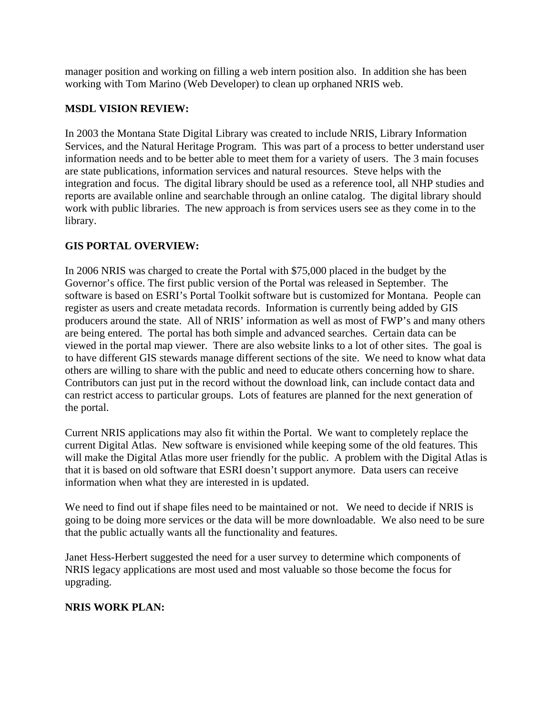manager position and working on filling a web intern position also. In addition she has been working with Tom Marino (Web Developer) to clean up orphaned NRIS web.

## **MSDL VISION REVIEW:**

In 2003 the Montana State Digital Library was created to include NRIS, Library Information Services, and the Natural Heritage Program. This was part of a process to better understand user information needs and to be better able to meet them for a variety of users. The 3 main focuses are state publications, information services and natural resources. Steve helps with the integration and focus. The digital library should be used as a reference tool, all NHP studies and reports are available online and searchable through an online catalog. The digital library should work with public libraries. The new approach is from services users see as they come in to the library.

# **GIS PORTAL OVERVIEW:**

In 2006 NRIS was charged to create the Portal with \$75,000 placed in the budget by the Governor's office. The first public version of the Portal was released in September. The software is based on ESRI's Portal Toolkit software but is customized for Montana. People can register as users and create metadata records. Information is currently being added by GIS producers around the state. All of NRIS' information as well as most of FWP's and many others are being entered. The portal has both simple and advanced searches. Certain data can be viewed in the portal map viewer. There are also website links to a lot of other sites. The goal is to have different GIS stewards manage different sections of the site. We need to know what data others are willing to share with the public and need to educate others concerning how to share. Contributors can just put in the record without the download link, can include contact data and can restrict access to particular groups. Lots of features are planned for the next generation of the portal.

Current NRIS applications may also fit within the Portal. We want to completely replace the current Digital Atlas. New software is envisioned while keeping some of the old features. This will make the Digital Atlas more user friendly for the public. A problem with the Digital Atlas is that it is based on old software that ESRI doesn't support anymore. Data users can receive information when what they are interested in is updated.

We need to find out if shape files need to be maintained or not. We need to decide if NRIS is going to be doing more services or the data will be more downloadable. We also need to be sure that the public actually wants all the functionality and features.

Janet Hess-Herbert suggested the need for a user survey to determine which components of NRIS legacy applications are most used and most valuable so those become the focus for upgrading.

## **NRIS WORK PLAN:**